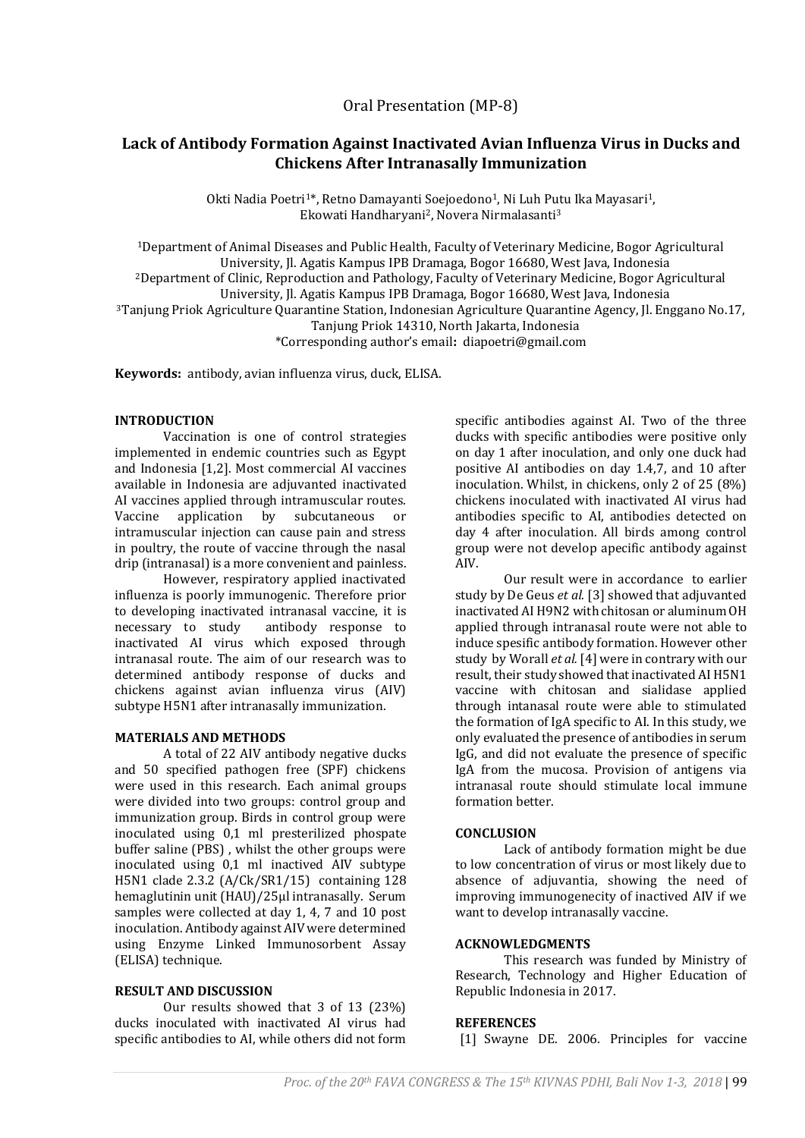# **Lack of Antibody Formation Against Inactivated Avian Influenza Virus in Ducks and Chickens After Intranasally Immunization**

Okti Nadia Poetri<sup>1\*</sup>, Retno Damayanti Soejoedono<sup>1</sup>, Ni Luh Putu Ika Mayasari<sup>1</sup>, Ekowati Handharyani2, Novera Nirmalasanti<sup>3</sup>

<sup>1</sup>Department of Animal Diseases and Public Health, Faculty of Veterinary Medicine, Bogor Agricultural University, Jl. Agatis Kampus IPB Dramaga, Bogor 16680, West Java, Indonesia <sup>2</sup>Department of Clinic, Reproduction and Pathology, Faculty of Veterinary Medicine, Bogor Agricultural University, Jl. Agatis Kampus IPB Dramaga, Bogor 16680, West Java, Indonesia <sup>3</sup>Tanjung Priok Agriculture Quarantine Station, Indonesian Agriculture Quarantine Agency, Jl. Enggano No.17, Tanjung Priok 14310, North Jakarta, Indonesia \*Corresponding author's email**:** diapoetri@gmail.com

**Keywords:** antibody, avian influenza virus, duck, ELISA.

## **INTRODUCTION**

Vaccination is one of control strategies implemented in endemic countries such as Egypt and Indonesia [1,2]. Most commercial AI vaccines available in Indonesia are adjuvanted inactivated AI vaccines applied through intramuscular routes. Vaccine application by subcutaneous or intramuscular injection can cause pain and stress in poultry, the route of vaccine through the nasal drip (intranasal) is a more convenient and painless.

However, respiratory applied inactivated influenza is poorly immunogenic. Therefore prior to developing inactivated intranasal vaccine, it is necessary to study antibody response to inactivated AI virus which exposed through intranasal route. The aim of our research was to determined antibody response of ducks and chickens against avian influenza virus (AIV) subtype H5N1 after intranasally immunization.

### **MATERIALS AND METHODS**

A total of 22 AIV antibody negative ducks and 50 specified pathogen free (SPF) chickens were used in this research. Each animal groups were divided into two groups: control group and immunization group. Birds in control group were inoculated using 0,1 ml presterilized phospate buffer saline (PBS) , whilst the other groups were inoculated using 0,1 ml inactived AIV subtype H5N1 clade 2.3.2 (A/Ck/SR1/15) containing 128 hemaglutinin unit (HAU)/25µl intranasally. Serum samples were collected at day 1, 4, 7 and 10 post inoculation. Antibody against AIV were determined using Enzyme Linked Immunosorbent Assay (ELISA) technique.

### **RESULT AND DISCUSSION**

Our results showed that 3 of 13 (23%) ducks inoculated with inactivated AI virus had specific antibodies to AI, while others did not form specific antibodies against AI. Two of the three ducks with specific antibodies were positive only on day 1 after inoculation, and only one duck had positive AI antibodies on day 1.4,7, and 10 after inoculation. Whilst, in chickens, only 2 of 25 (8%) chickens inoculated with inactivated AI virus had antibodies specific to AI, antibodies detected on day 4 after inoculation. All birds among control group were not develop apecific antibody against AIV.

Our result were in accordance to earlier study by De Geus *et al.* [3] showed that adjuvanted inactivated AI H9N2 with chitosan or aluminum OH applied through intranasal route were not able to induce spesific antibody formation. However other study by Worall *et al.* [4] were in contrary with our result, their study showed that inactivated AI H5N1 vaccine with chitosan and sialidase applied through intanasal route were able to stimulated the formation of IgA specific to AI. In this study, we only evaluated the presence of antibodies in serum IgG, and did not evaluate the presence of specific IgA from the mucosa. Provision of antigens via intranasal route should stimulate local immune formation better.

### **CONCLUSION**

Lack of antibody formation might be due to low concentration of virus or most likely due to absence of adjuvantia, showing the need of improving immunogenecity of inactived AIV if we want to develop intranasally vaccine.

### **ACKNOWLEDGMENTS**

This research was funded by Ministry of Research, Technology and Higher Education of Republic Indonesia in 2017.

### **REFERENCES**

[1] Swayne DE. 2006. Principles for vaccine